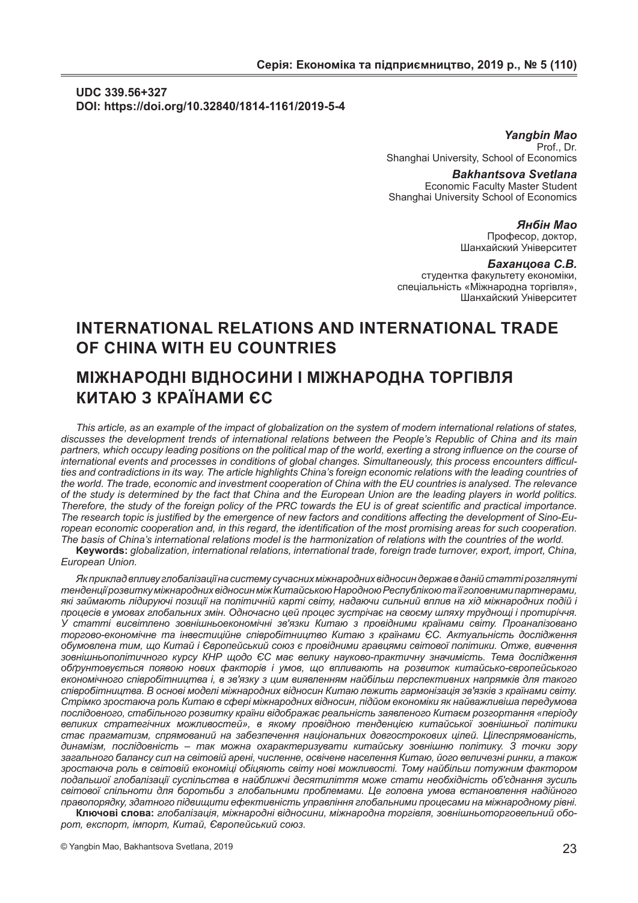## **UDC 339.56+327 DOI: https://doi.org/10.32840/1814-1161/2019-5-4**

*Yangbin Mao* Prof., Dr. Shanghai University, School of Economics

> *Bakhantsova Svetlana* Economic Faculty Master Student

Shanghai University School of Economics

### *Янбін Мао*

Професор, доктор, Шанхайский Університет

### *Баханцова С.В.*

студентка факультету економіки, спеціальність «Міжнародна торгівля», Шанхайский Університет

# **INTERNATIONAL RELATIONS AND INTERNATIONAL TRADE OF CHINA WITH EU COUNTRIES**

# **МІЖНАРОДНІ ВІДНОСИНИ І МІЖНАРОДНА ТОРГІВЛЯ КИТАЮ З КРАЇНАМИ ЄС**

*This article, as an example of the impact of globalization on the system of modern international relations of states, discusses the development trends of international relations between the People's Republic of China and its main partners, which occupy leading positions on the political map of the world, exerting a strong influence on the course of international events and processes in conditions of global changes. Simultaneously, this process encounters difficulties and contradictions in its way. The article highlights China's foreign economic relations with the leading countries of the world. The trade, economic and investment cooperation of China with the EU countries is analysed. The relevance of the study is determined by the fact that China and the European Union are the leading players in world politics. Therefore, the study of the foreign policy of the PRC towards the EU is of great scientific and practical importance. The research topic is justified by the emergence of new factors and conditions affecting the development of Sino-European economic cooperation and, in this regard, the identification of the most promising areas for such cooperation. The basis of China's international relations model is the harmonization of relations with the countries of the world.*

**Keywords:** *globalization, international relations, international trade, foreign trade turnover, export, import, China, European Union.*

*Як приклад впливу глобалізації на систему сучасних міжнародних відносин держав в даній статті розглянуті тенденції розвитку міжнародних відносин між Китайською Народною Республікою та її головними партнерами, які займають лідируючі позиції на політичній карті світу, надаючи сильний вплив на хід міжнародних подій і процесів в умовах глобальних змін. Одночасно цей процес зустрічає на своєму шляху труднощі і протиріччя. У статті висвітлено зовнішньоекономічні зв'язки Китаю з провідними країнами світу. Проаналізовано торгово-економічне та інвестиційне співробітництво Китаю з країнами ЄС. Актуальність дослідження обумовлена тим, що Китай і Європейський союз є провідними гравцями світової політики. Отже, вивчення зовнішньополітичного курсу КНР щодо ЄС має велику науково-практичну значимість. Тема дослідження обґрунтовується появою нових факторів і умов, що впливають на розвиток китайсько-європейського економічного співробітництва і, в зв'язку з цим виявленням найбільш перспективних напрямків для такого співробітництва. В основі моделі міжнародних відносин Китаю лежить гармонізація зв'язків з країнами світу. Стрімко зростаюча роль Китаю в сфері міжнародних відносин, підйом економіки як найважливіша передумова послідовного, стабільного розвитку країни відображає реальність заявленого Китаєм розгортання «періоду великих стратегічних можливостей», в якому провідною тенденцією китайської зовнішньої політики стає прагматизм, спрямований на забезпечення національних довгострокових цілей. Цілеспрямованість, динамізм, послідовність – так можна охарактеризувати китайську зовнішню політику. З точки зору загального балансу сил на світовій арені, численне, освічене населення Китаю, його величезні ринки, а також зростаюча роль в світовій економіці обіцяють світу нові можливості. Тому найбільш потужним фактором подальшої глобалізації суспільства в найближчі десятиліття може стати необхідність об'єднання зусиль світової спільноти для боротьби з глобальними проблемами. Це головна умова встановлення надійного правопорядку, здатного підвищити ефективність управління глобальними процесами на міжнародному рівні.*

**Ключові слова:** *глобалізація, міжнародні відносини, міжнародна торгівля, зовнішньоторговельний оборот, експорт, імпорт, Китай, Європейський союз.*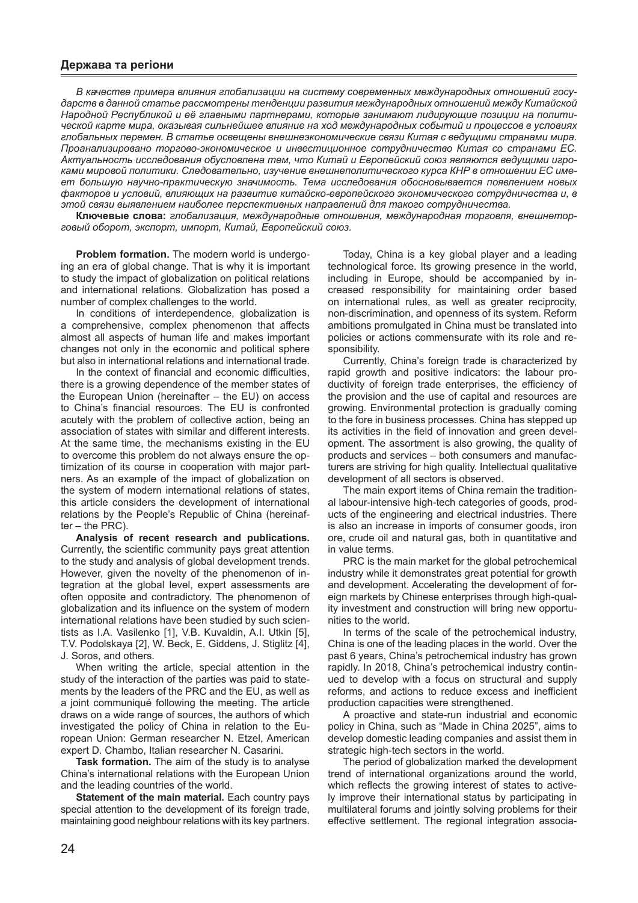### Держава та регіони

В качестве примера влияния глобализации на систему современных международных отношений государств в данной статье рассмотрены тенденции развития международных отношений между Китайской Народной Республикой и её главными партнерами, которые занимают лидирующие позиции на политической карте мира, оказывая сильнейшее влияние на ход международных событий и процессов в условиях глобальных перемен. В статье освещены внешнеэкономические связи Китая с ведущими странами мира. Проанализировано торгово-экономическое и инвестиционное сотрудничество Китая со странами ЕС. Актуальность исследования обусловлена тем, что Китай и Европейский союз являются ведущими игроками мировой политики. Следовательно, изучение внешнеполитического курса КНР в отношении EC имеет большую научно-практическую значимость. Тема исследования обосновывается появлением новых факторов и условий, влияющих на развитие китайско-европейского экономического сотрудничества и, в этой связи выявлением наиболее перспективных направлений для такого сотрудничества.

Ключевые слова: глобализация, международные отношения, международная торговля, внешнеторговый оборот, экспорт, импорт, Китай, Европейский союз.

Problem formation. The modern world is undergoing an era of global change. That is why it is important to study the impact of globalization on political relations and international relations. Globalization has posed a number of complex challenges to the world.

In conditions of interdependence, globalization is a comprehensive, complex phenomenon that affects almost all aspects of human life and makes important changes not only in the economic and political sphere but also in international relations and international trade.

In the context of financial and economic difficulties. there is a growing dependence of the member states of the European Union (hereinafter - the EU) on access to China's financial resources. The EU is confronted acutely with the problem of collective action, being an association of states with similar and different interests. At the same time, the mechanisms existing in the EU to overcome this problem do not always ensure the optimization of its course in cooperation with major partners. As an example of the impact of globalization on the system of modern international relations of states. this article considers the development of international relations by the People's Republic of China (hereinaf $ter - the PRC$ ).

Analysis of recent research and publications. Currently, the scientific community pays great attention to the study and analysis of global development trends. However, given the novelty of the phenomenon of integration at the global level, expert assessments are often opposite and contradictory. The phenomenon of globalization and its influence on the system of modern international relations have been studied by such scientists as I.A. Vasilenko [1], V.B. Kuvaldin, A.I. Utkin [5], T.V. Podolskava [2]. W. Beck. E. Giddens. J. Stiglitz [4]. J. Soros, and others.

When writing the article, special attention in the study of the interaction of the parties was paid to statements by the leaders of the PRC and the EU, as well as a joint communiqué following the meeting. The article draws on a wide range of sources, the authors of which investigated the policy of China in relation to the European Union: German researcher N. Etzel, American expert D. Chambo. Italian researcher N. Casarini.

Task formation. The aim of the study is to analyse China's international relations with the European Union and the leading countries of the world.

Statement of the main material. Each country pays special attention to the development of its foreign trade, maintaining good neighbour relations with its key partners.

Today, China is a key global player and a leading technological force. Its growing presence in the world, including in Europe, should be accompanied by increased responsibility for maintaining order based on international rules, as well as greater reciprocity, non-discrimination, and openness of its system. Reform ambitions promulgated in China must be translated into policies or actions commensurate with its role and responsibility.

Currently, China's foreign trade is characterized by rapid growth and positive indicators: the labour productivity of foreign trade enterprises, the efficiency of the provision and the use of capital and resources are growing. Environmental protection is gradually coming to the fore in business processes. China has stepped up its activities in the field of innovation and green development. The assortment is also growing, the quality of products and services - both consumers and manufacturers are striving for high quality. Intellectual qualitative development of all sectors is observed.

The main export items of China remain the traditional labour-intensive high-tech categories of goods, products of the engineering and electrical industries. There is also an increase in imports of consumer goods, iron ore, crude oil and natural gas, both in quantitative and in value terms

PRC is the main market for the global petrochemical industry while it demonstrates great potential for growth and development. Accelerating the development of foreign markets by Chinese enterprises through high-quality investment and construction will bring new opportunities to the world.

In terms of the scale of the petrochemical industry, China is one of the leading places in the world. Over the past 6 years, China's petrochemical industry has grown rapidly. In 2018, China's petrochemical industry continued to develop with a focus on structural and supply reforms, and actions to reduce excess and inefficient production capacities were strengthened.

A proactive and state-run industrial and economic policy in China, such as "Made in China 2025", aims to develop domestic leading companies and assist them in strategic high-tech sectors in the world.

The period of globalization marked the development trend of international organizations around the world, which reflects the growing interest of states to actively improve their international status by participating in multilateral forums and jointly solving problems for their effective settlement. The regional integration associa-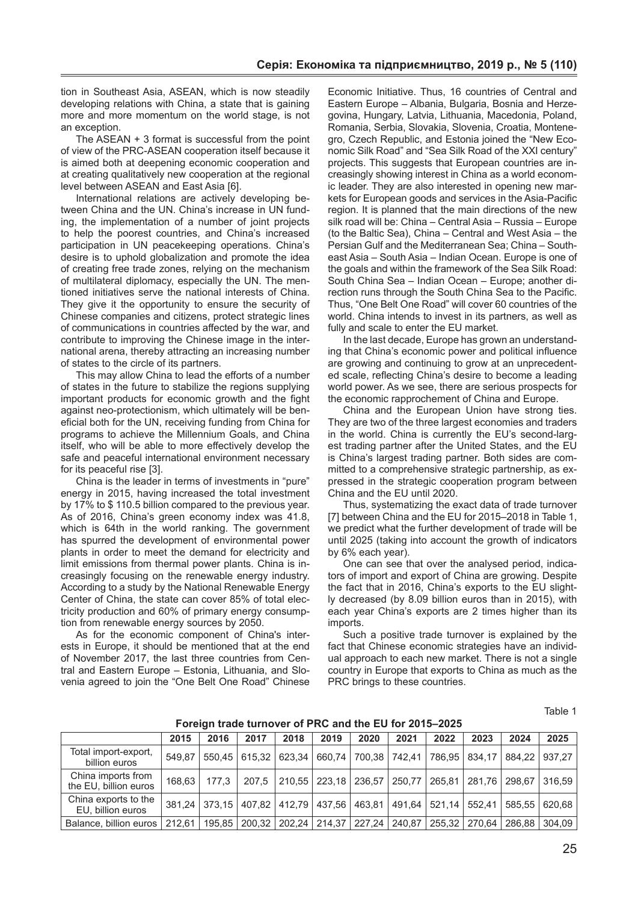tion in Southeast Asia, ASEAN, which is now steadily developing relations with China, a state that is gaining more and more momentum on the world stage, is not an exception.

The ASEAN + 3 format is successful from the point of view of the PRC-ASEAN cooperation itself because it is aimed both at deepening economic cooperation and at creating qualitatively new cooperation at the regional level between ASEAN and East Asia [6].

International relations are actively developing between China and the UN. China's increase in UN funding, the implementation of a number of joint projects to help the poorest countries, and China's increased participation in UN peacekeeping operations. China's desire is to uphold globalization and promote the idea of creating free trade zones, relying on the mechanism of multilateral diplomacy, especially the UN. The mentioned initiatives serve the national interests of China. They give it the opportunity to ensure the security of Chinese companies and citizens, protect strategic lines of communications in countries affected by the war, and contribute to improving the Chinese image in the international arena, thereby attracting an increasing number of states to the circle of its partners.

This may allow China to lead the efforts of a number of states in the future to stabilize the regions supplying important products for economic growth and the fight against neo-protectionism, which ultimately will be beneficial both for the UN, receiving funding from China for programs to achieve the Millennium Goals, and China itself, who will be able to more effectively develop the safe and peaceful international environment necessary for its peaceful rise [3].

China is the leader in terms of investments in "pure" energy in 2015, having increased the total investment by 17% to \$ 110.5 billion compared to the previous year. As of 2016, China's green economy index was 41.8, which is 64th in the world ranking. The government has spurred the development of environmental power plants in order to meet the demand for electricity and limit emissions from thermal power plants. China is increasingly focusing on the renewable energy industry. According to a study by the National Renewable Energy Center of China, the state can cover 85% of total electricity production and 60% of primary energy consumption from renewable energy sources by 2050.

As for the economic component of China's interests in Europe, it should be mentioned that at the end of November 2017, the last three countries from Central and Eastern Europe – Estonia, Lithuania, and Slovenia agreed to join the "One Belt One Road" Chinese Economic Initiative. Thus, 16 countries of Central and Eastern Europe – Albania, Bulgaria, Bosnia and Herzegovina, Hungary, Latvia, Lithuania, Macedonia, Poland, Romania, Serbia, Slovakia, Slovenia, Croatia, Montenegro, Czech Republic, and Estonia joined the "New Economic Silk Road" and "Sea Silk Road of the XXI century" projects. This suggests that European countries are increasingly showing interest in China as a world economic leader. They are also interested in opening new markets for European goods and services in the Asia-Pacific region. It is planned that the main directions of the new silk road will be: China – Central Asia – Russia – Europe (to the Baltic Sea), China – Central and West Asia – the Persian Gulf and the Mediterranean Sea; China – Southeast Asia – South Asia – Indian Ocean. Europe is one of the goals and within the framework of the Sea Silk Road: South China Sea – Indian Ocean – Europe; another direction runs through the South China Sea to the Pacific. Thus, "One Belt One Road" will cover 60 countries of the world. China intends to invest in its partners, as well as fully and scale to enter the EU market.

In the last decade, Europe has grown an understanding that China's economic power and political influence are growing and continuing to grow at an unprecedented scale, reflecting China's desire to become a leading world power. As we see, there are serious prospects for the economic rapprochement of China and Europe.

China and the European Union have strong ties. They are two of the three largest economies and traders in the world. China is currently the EU's second-largest trading partner after the United States, and the EU is China's largest trading partner. Both sides are committed to a comprehensive strategic partnership, as expressed in the strategic cooperation program between China and the EU until 2020.

Thus, systematizing the exact data of trade turnover [7] between China and the EU for 2015–2018 in Table 1, we predict what the further development of trade will be until 2025 (taking into account the growth of indicators by 6% each year).

One can see that over the analysed period, indicators of import and export of China are growing. Despite the fact that in 2016, China's exports to the EU slightly decreased (by 8.09 billion euros than in 2015), with each year China's exports are 2 times higher than its imports.

Such a positive trade turnover is explained by the fact that Chinese economic strategies have an individual approach to each new market. There is not a single country in Europe that exports to China as much as the PRC brings to these countries.

Table 1

|                                             | 2015   | 2016   | 2017  | 2018            | 2019                                       | 2020 | 2021 | 2022 | 2023                                                                                                                    | 2024   | 2025            |
|---------------------------------------------|--------|--------|-------|-----------------|--------------------------------------------|------|------|------|-------------------------------------------------------------------------------------------------------------------------|--------|-----------------|
| Total import-export,<br>billion euros       | 549.87 | 550.45 |       | 615.32 623.34 1 |                                            |      |      |      | 660,74   700,38   742,41   786,95   834,17                                                                              |        | 884.22   937.27 |
| China imports from<br>the EU, billion euros | 168.63 | 177.3  | 207.5 |                 |                                            |      |      |      | $\vert$ 210,55 $\vert$ 223,18 $\vert$ 236,57 $\vert$ 250,77 $\vert$ 265,81 $\vert$ 281,76 $\vert$ 298,67 $\vert$ 316,59 |        |                 |
| China exports to the<br>EU, billion euros   | 381.24 | 373.15 |       |                 |                                            |      |      |      | 407,82 412,79 437,56 463,81 491,64 521,14 552,41 585,55 620,68                                                          |        |                 |
| Balance, billion euros                      | 212.61 | 195,85 |       |                 | 200,32   202,24   214,37   227,24   240,87 |      |      |      | 255.32 270.64                                                                                                           | 286.88 | 304.09          |

**Foreign trade turnover of PRC and the EU for 2015–2025**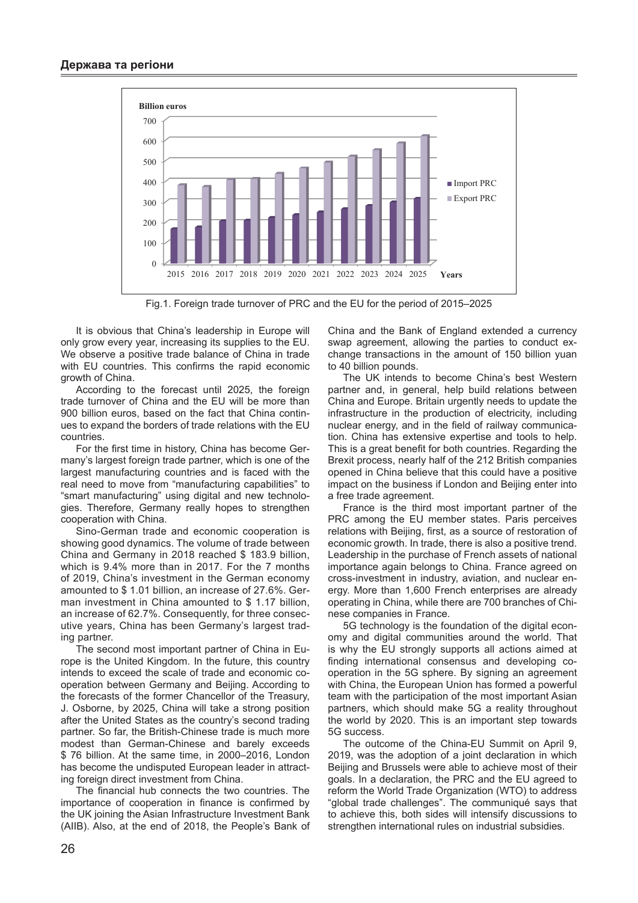

Fig.1. Foreign trade turnover of PRC and the EU for the period of 2015–2025

It is obvious that China's leadership in Europe will only grow every year, increasing its supplies to the EU. We observe a positive trade balance of China in trade with EU countries. This confirms the rapid economic growth of China.

According to the forecast until 2025, the foreign trade turnover of China and the EU will be more than 900 billion euros, based on the fact that China continues to expand the borders of trade relations with the EU countries.

For the first time in history, China has become Germany's largest foreign trade partner, which is one of the largest manufacturing countries and is faced with the real need to move from "manufacturing capabilities" to "smart manufacturing" using digital and new technologies. Therefore, Germany really hopes to strengthen cooperation with China.

Sino-German trade and economic cooperation is showing good dynamics. The volume of trade between China and Germany in 2018 reached \$ 183.9 billion, which is 9.4% more than in 2017. For the 7 months of 2019, China's investment in the German economy amounted to \$ 1.01 billion, an increase of 27.6%. German investment in China amounted to \$ 1.17 billion, an increase of 62.7%. Consequently, for three consecutive years, China has been Germany's largest trading partner.

The second most important partner of China in Europe is the United Kingdom. In the future, this country intends to exceed the scale of trade and economic cooperation between Germany and Beijing. According to the forecasts of the former Chancellor of the Treasury, J. Osborne, by 2025, China will take a strong position after the United States as the country's second trading partner. So far, the British-Chinese trade is much more modest than German-Chinese and barely exceeds \$ 76 billion. At the same time, in 2000–2016, London has become the undisputed European leader in attracting foreign direct investment from China.

The financial hub connects the two countries. The importance of cooperation in finance is confirmed by the UK joining the Asian Infrastructure Investment Bank (AIIB). Also, at the end of 2018, the People's Bank of

China and the Bank of England extended a currency swap agreement, allowing the parties to conduct exchange transactions in the amount of 150 billion yuan to 40 billion pounds.

The UK intends to become China's best Western partner and, in general, help build relations between China and Europe. Britain urgently needs to update the infrastructure in the production of electricity, including nuclear energy, and in the field of railway communication. China has extensive expertise and tools to help. This is a great benefit for both countries. Regarding the Brexit process, nearly half of the 212 British companies opened in China believe that this could have a positive impact on the business if London and Beijing enter into a free trade agreement.

France is the third most important partner of the PRC among the EU member states. Paris perceives relations with Beijing, first, as a source of restoration of economic growth. In trade, there is also a positive trend. Leadership in the purchase of French assets of national importance again belongs to China. France agreed on cross-investment in industry, aviation, and nuclear energy. More than 1,600 French enterprises are already operating in China, while there are 700 branches of Chinese companies in France.

5G technology is the foundation of the digital economy and digital communities around the world. That is why the EU strongly supports all actions aimed at finding international consensus and developing cooperation in the 5G sphere. By signing an agreement with China, the European Union has formed a powerful team with the participation of the most important Asian partners, which should make 5G a reality throughout the world by 2020. This is an important step towards 5G success.

The outcome of the China-EU Summit on April 9, 2019, was the adoption of a joint declaration in which Beijing and Brussels were able to achieve most of their goals. In a declaration, the PRC and the EU agreed to reform the World Trade Organization (WTO) to address "global trade challenges". The communiqué says that to achieve this, both sides will intensify discussions to strengthen international rules on industrial subsidies.